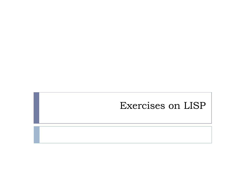## Exercises on LISP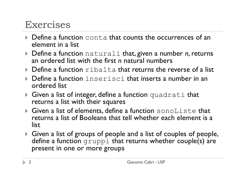## Exercises

- ▶ Define a function conta that counts the occurrences of an element in a list
- ▶ Define a function naturali that, given a number *n*, returns an ordered list with the first *n* natural numbers
- $\triangleright$  Define a function  $r$  ibalta that returns the reverse of a list
- $\blacktriangleright$  Define a function  $\mathtt{in}$ serisci that inserts a number in an ordered list
- $\blacktriangleright$  Given a list of integer, define a function quadrati that returns a list with their squares
- $\blacktriangleright$  Given a list of elements, define a function sonoListe that returns a list of Booleans that tell whether each element is a list
- } Given a list of groups of people and a list of couples of people, define a function gruppi that returns whether couple(s) are present in one or more groups